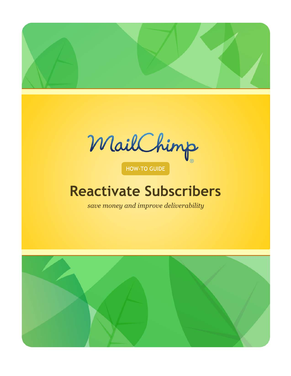

MailChimp

HOW-TO GUIDE

# **Reactivate Subscribers**

*save money and improve deliverability*

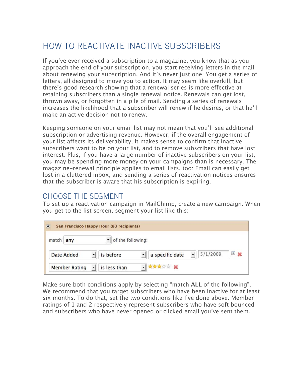## HOW TO REACTIVATE INACTIVE SUBSCRIBERS

If you've ever received a subscription to a magazine, you know that as you approach the end of your subscription, you start receiving letters in the mail about renewing your subscription. And it's never just one: You get a series of letters, all designed to move you to action. It may seem like overkill, but there's good research showing that a renewal series is more effective at retaining subscribers than a single renewal notice. Renewals can get lost, thrown away, or forgotten in a pile of mail. Sending a series of renewals increases the likelihood that a subscriber will renew if he desires, or that he'll make an active decision not to renew.

Keeping someone on your email list may not mean that you'll see additional subscription or advertising revenue. However, if the overall engagement of your list affects its deliverability, it makes sense to confirm that inactive subscribers want to be on your list, and to remove subscribers that have lost interest. Plus, if you have a large number of inactive subscribers on your list, you may be spending more money on your campaigns than is necessary. The magazine-renewal principle applies to email lists, too: Email can easily get lost in a cluttered inbox, and sending a series of reactivation notices ensures that the subscriber is aware that his subscription is expiring.

#### CHOOSE THE SEGMENT

To set up a reactivation campaign in MailChimp, create a new campaign. When you get to the list screen, segment your list like this:

| Θ                    | San Francisco Happy Hour (83 recipients) |                 |                      |  |
|----------------------|------------------------------------------|-----------------|----------------------|--|
| match any            | of the following:                        |                 |                      |  |
| Date Added           | is before                                | a specific date | $9 - 26$<br>5/1/2009 |  |
| <b>Member Rating</b> | is less than<br>ᆌ                        | <b>XXXXXX</b>   |                      |  |

Make sure both conditions apply by selecting "match **ALL** of the following". We recommend that you target subscribers who have been inactive for at least six months. To do that, set the two conditions like I've done above. Member ratings of 1 and 2 respectively represent subscribers who have soft bounced and subscribers who have never opened or clicked email you've sent them.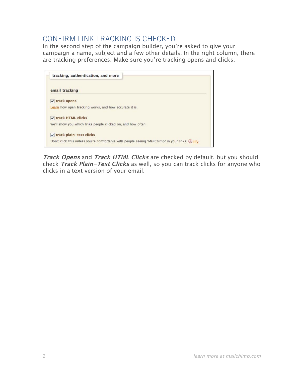## CONFIRM LINK TRACKING IS CHECKED

In the second step of the campaign builder, you're asked to give your campaign a name, subject and a few other details. In the right column, there are tracking preferences. Make sure you're tracking opens and clicks.

|                          | tracking, authentication, and more                                                                |
|--------------------------|---------------------------------------------------------------------------------------------------|
| email tracking           |                                                                                                   |
| track opens<br>$\sqrt{}$ |                                                                                                   |
|                          | Learn how open tracking works, and how accurate it is.                                            |
| √ track HTML clicks      |                                                                                                   |
|                          | We'll show you which links people clicked on, and how often.                                      |
|                          | √ track plain-text clicks                                                                         |
|                          | Don't click this unless you're comfortable with people seeing "MailChimp" in your links. (2) info |

**Track Opens** and **Track HTML Clicks** are checked by default, but you should check **Track Plain-Text Clicks** as well, so you can track clicks for anyone who clicks in a text version of your email.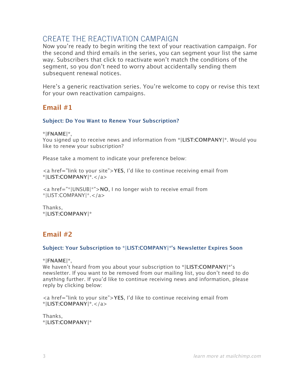### CREATE THE REACTIVATION CAMPAIGN

Now you're ready to begin writing the text of your reactivation campaign. For the second and third emails in the series, you can segment your list the same way. Subscribers that click to reactivate won't match the conditions of the segment, so you don't need to worry about accidentally sending them subsequent renewal notices.

Here's a generic reactivation series. You're welcome to copy or revise this text for your own reactivation campaigns.

#### **Email #1**

#### **Subject: Do You Want to Renew Your Subscription?**

**\*|FNAME|\***,

You signed up to receive news and information from **\*|LIST:COMPANY|\***. Would you like to renew your subscription?

Please take a moment to indicate your preference below:

<a href="link to your site">**YES**, I'd like to continue receiving email from **\*|LIST:COMPANY|\***.</a>

<a href="\*|UNSUB|\*">**NO**, I no longer wish to receive email from \*|LIST:COMPANY|\*.</a>

Thanks, **\*|LIST:COMPANY|\***

#### **Email #2**

#### **Subject: Your Subscription to \*|LIST:COMPANY|\*'s Newsletter Expires Soon**

**\*|FNAME|\***,

We haven't heard from you about your subscription to **\*|LIST:COMPANY|\***'s newsletter. If you want to be removed from our mailing list, you don't need to do anything further. If you'd like to continue receiving news and information, please reply by clicking below:

<a href="link to your site">**YES**, I'd like to continue receiving email from **\*|LIST:COMPANY|\***.</a>

Thanks, **\*|LIST:COMPANY|\***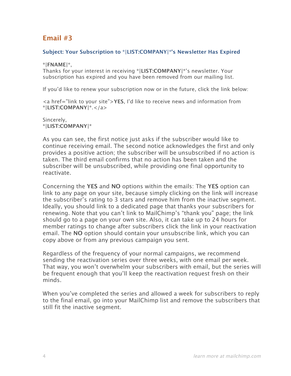#### **Email #3**

#### **Subject: Your Subscription to \*|LIST:COMPANY|\*'s Newsletter Has Expired**

**\*|FNAME|\***,

Thanks for your interest in receiving **\*|LIST:COMPANY|\***'s newsletter. Your subscription has expired and you have been removed from our mailing list.

If you'd like to renew your subscription now or in the future, click the link below:

<a href="link to your site">**YES**, I'd like to receive news and information from **\*|LIST:COMPANY|\***.</a>

Sincerely, **\*|LIST:COMPANY|\***

As you can see, the first notice just asks if the subscriber would like to continue receiving email. The second notice acknowledges the first and only provides a positive action; the subscriber will be unsubscribed if no action is taken. The third email confirms that no action has been taken and the subscriber will be unsubscribed, while providing one final opportunity to reactivate.

Concerning the **YES** and **NO** options within the emails: The **YES** option can link to any page on your site, because simply clicking on the link will increase the subscriber's rating to 3 stars and remove him from the inactive segment. Ideally, you should link to a dedicated page that thanks your subscribers for renewing. Note that you can't link to MailChimp's "thank you" page; the link should go to a page on your own site. Also, it can take up to 24 hours for member ratings to change after subscribers click the link in your reactivation email. The **NO** option should contain your unsubscribe link, which you can copy above or from any previous campaign you sent.

Regardless of the frequency of your normal campaigns, we recommend sending the reactivation series over three weeks, with one email per week. That way, you won't overwhelm your subscribers with email, but the series will be frequent enough that you'll keep the reactivation request fresh on their minds.

When you've completed the series and allowed a week for subscribers to reply to the final email, go into your MailChimp list and remove the subscribers that still fit the inactive segment.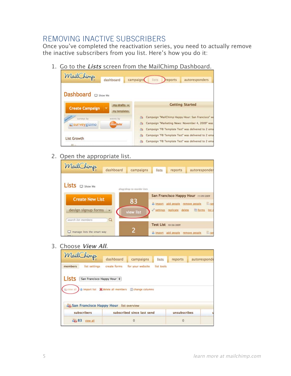## REMOVING INACTIVE SUBSCRIBERS

Once you've completed the reactivation series, you need to actually remove the inactive subscribers from you list. Here's how you do it:

1. Go to the **Lists** screen from the MailChimp Dashboard.



2. Open the appropriate list.

| MailChimp                         |           |                            |                      |                                     |                 |              |
|-----------------------------------|-----------|----------------------------|----------------------|-------------------------------------|-----------------|--------------|
|                                   | dashboard | campaigns                  | lists                | reports                             | autoresponder   |              |
| Lists<br>$\Box$ Show Me           |           | drag/drop to reorder lists |                      |                                     |                 |              |
| <b>Create New List</b>            |           |                            |                      | San Francisco Happy Hour 11/09/2009 |                 |              |
|                                   |           | 83                         |                      | import add people remove people     |                 | <b>B</b> ser |
| design signup forms $\rightarrow$ |           | view list                  |                      | settings replicate delete           | <b>DE forms</b> | list c       |
| search list members               | Q         |                            | Test List 10/26/2009 |                                     |                 |              |
|                                   |           | 2                          |                      |                                     |                 |              |
| manage lists the smart way        |           |                            |                      | import add people remove people     |                 | <b>E</b> ser |

3. Choose **View All**.

| MailChimp |                          |                                                          |                                                                    |            |              |              |
|-----------|--------------------------|----------------------------------------------------------|--------------------------------------------------------------------|------------|--------------|--------------|
|           |                          | dashboard                                                | campaigns                                                          | lists      | reports      | autoresponde |
| members   | list settings            | create forms                                             | for your website                                                   | list tools |              |              |
| Lists     | San Francisco Happy Hour |                                                          |                                                                    |            |              |              |
| View all  |                          |                                                          | of import list <b>X</b> delete all members <b>E</b> change columns |            |              |              |
|           |                          |                                                          |                                                                    |            |              |              |
|           |                          | <b>Configurer</b> San Francisco Happy Hour list overview |                                                                    |            |              |              |
|           | subscribers              |                                                          | subscribed since last send                                         |            | unsubscribes |              |
| 4,83      | view all                 |                                                          | $\theta$                                                           |            | $\mathbf{0}$ |              |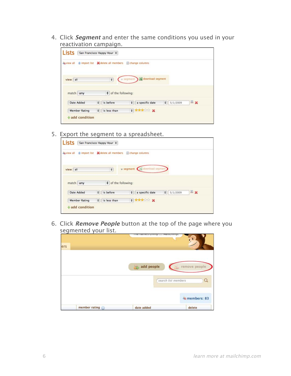4. Click **Segment** and enter the same conditions you used in your reactivation campaign.

| <b>Lists</b>                                                                        |   | San Francisco Happy Hour    |         |                     |           |          |    |
|-------------------------------------------------------------------------------------|---|-----------------------------|---------|---------------------|-----------|----------|----|
| as view all $\triangle$ import list $\triangle$ delete all members a change columns |   |                             |         |                     |           |          |    |
|                                                                                     |   |                             |         |                     |           |          |    |
|                                                                                     |   |                             |         |                     |           |          |    |
| view all                                                                            |   | $\div$                      | segment | as download segment |           |          |    |
|                                                                                     |   |                             |         |                     |           |          |    |
| match any                                                                           |   | $\bullet$ of the following: |         |                     |           |          |    |
| Date Added                                                                          | ٠ | is before                   | ٠       | a specific date     | $\bullet$ | 5/1/2009 | 回翼 |

5. Export the segment to a spreadsheet.

| Lists      | San Francisco Happy Hour                                 |                                 |                     |
|------------|----------------------------------------------------------|---------------------------------|---------------------|
|            | as view all $\triangle$ import list & delete all members | change columns                  |                     |
| view all   | $\div$                                                   | v segment (25 download segment) |                     |
|            |                                                          |                                 |                     |
|            | $\div$ of the following:                                 |                                 |                     |
| match any  |                                                          |                                 |                     |
| Date Added | ÷<br>is before                                           | a specific date<br>۰            | 国义<br>٠<br>5/1/2009 |

6. Click **Remove People** button at the top of the page where you segmented your list.

| ers |                          | THE Hallie's<br> | MCTICTHTHD.                               |
|-----|--------------------------|------------------|-------------------------------------------|
|     |                          | add people       | remove people<br>search list members<br>Q |
|     |                          |                  | da members: 83                            |
|     | member rating $\bigcirc$ | date added       | delete                                    |